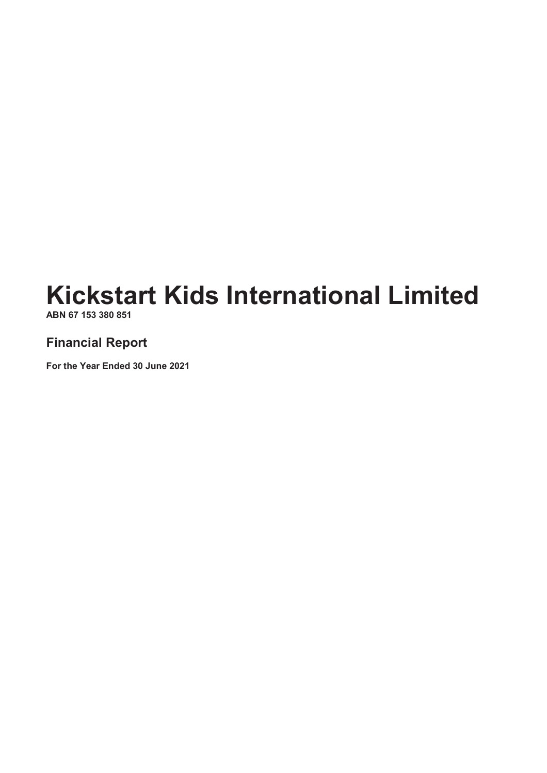ABN 67 153 380 851

Financial Report

For the Year Ended 30 June 2021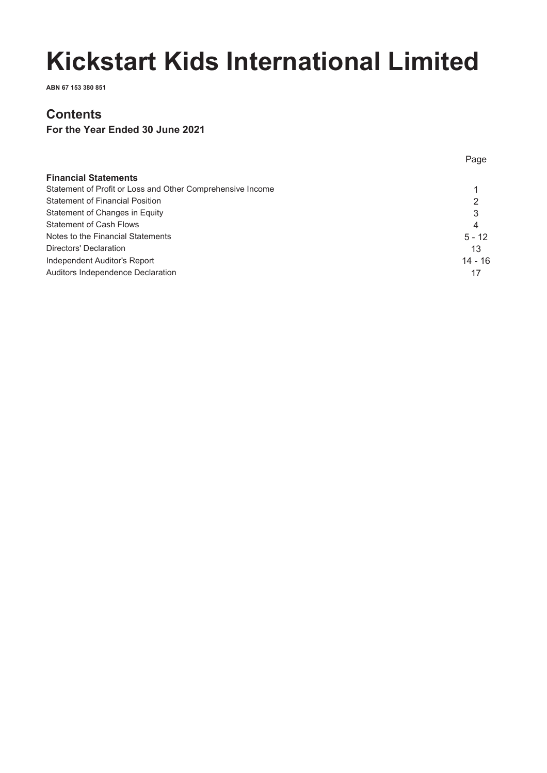ABN 67 153 380 851

### **Contents**

For the Year Ended 30 June 2021

|                                                            | Page      |
|------------------------------------------------------------|-----------|
| <b>Financial Statements</b>                                |           |
| Statement of Profit or Loss and Other Comprehensive Income |           |
| <b>Statement of Financial Position</b>                     | 2         |
| Statement of Changes in Equity                             | 3         |
| <b>Statement of Cash Flows</b>                             | 4         |
| Notes to the Financial Statements                          | $5 - 12$  |
| Directors' Declaration                                     | 13        |
| Independent Auditor's Report                               | $14 - 16$ |
| Auditors Independence Declaration                          | 17        |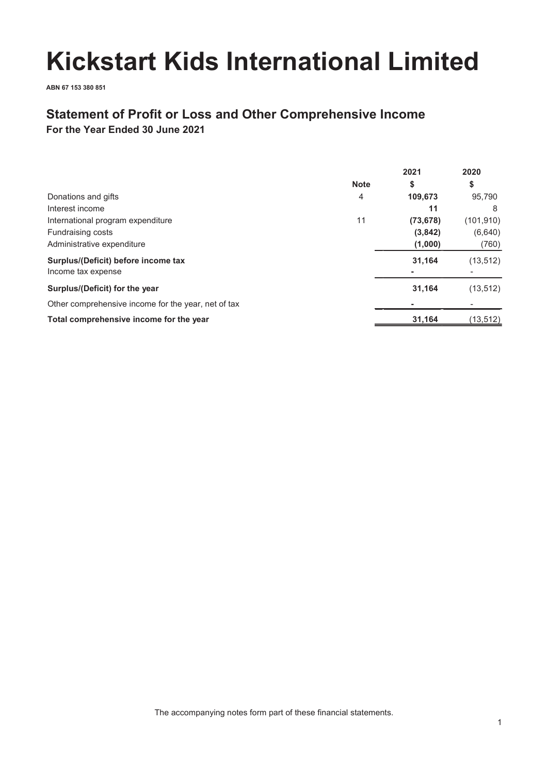ABN 67 153 380 851

### Statement of Profit or Loss and Other Comprehensive Income For the Year Ended 30 June 2021

|                                                     |             | 2021      | 2020       |
|-----------------------------------------------------|-------------|-----------|------------|
|                                                     | <b>Note</b> | \$        | \$         |
| Donations and gifts                                 | 4           | 109,673   | 95,790     |
| Interest income                                     |             | 11        | 8          |
| International program expenditure                   | 11          | (73, 678) | (101, 910) |
| Fundraising costs                                   |             | (3, 842)  | (6,640)    |
| Administrative expenditure                          |             | (1,000)   | (760)      |
| Surplus/(Deficit) before income tax                 |             | 31,164    | (13, 512)  |
| Income tax expense                                  |             |           |            |
| Surplus/(Deficit) for the year                      |             | 31,164    | (13, 512)  |
| Other comprehensive income for the year, net of tax |             |           |            |
| Total comprehensive income for the year             |             | 31,164    | (13, 512)  |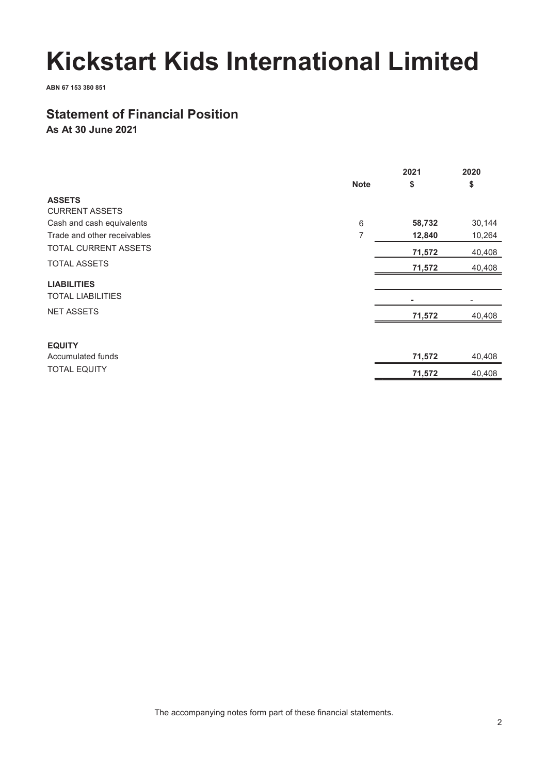ABN 67 153 380 851

### Statement of Financial Position

As At 30 June 2021

|                                                                     | <b>Note</b> | 2021<br>\$       | 2020<br>\$       |
|---------------------------------------------------------------------|-------------|------------------|------------------|
| <b>ASSETS</b><br><b>CURRENT ASSETS</b><br>Cash and cash equivalents | 6           | 58,732           | 30,144           |
| Trade and other receivables<br><b>TOTAL CURRENT ASSETS</b>          | 7           | 12,840<br>71,572 | 10,264<br>40,408 |
| <b>TOTAL ASSETS</b>                                                 |             | 71,572           | 40,408           |
| <b>LIABILITIES</b><br><b>TOTAL LIABILITIES</b>                      |             |                  |                  |
| <b>NET ASSETS</b>                                                   |             | 71,572           | 40,408           |
| <b>EQUITY</b><br>Accumulated funds                                  |             | 71,572           | 40,408           |
| <b>TOTAL EQUITY</b>                                                 |             | 71,572           | 40,408           |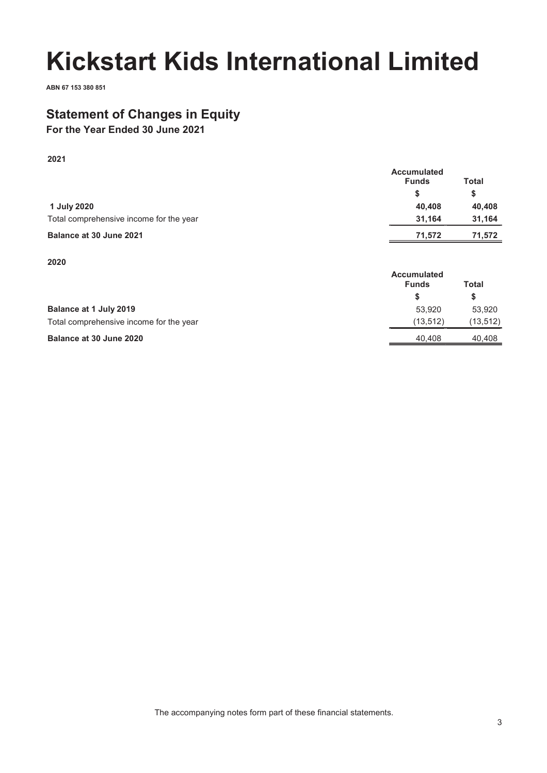ABN 67 153 380 851

### Statement of Changes in Equity

For the Year Ended 30 June 2021

2021

|                                         | <b>Accumulated</b>    |        |
|-----------------------------------------|-----------------------|--------|
|                                         | Total<br><b>Funds</b> |        |
|                                         |                       | S      |
| 1 July 2020                             | 40.408                | 40,408 |
| Total comprehensive income for the year | 31.164                | 31,164 |
| Balance at 30 June 2021                 | 71.572                | 71,572 |

2020

|                                         | <b>Accumulated</b> |          |
|-----------------------------------------|--------------------|----------|
|                                         | <b>Funds</b>       |          |
|                                         |                    | S        |
| Balance at 1 July 2019                  | 53.920             | 53.920   |
| Total comprehensive income for the year | (13.512)           | (13,512) |
| Balance at 30 June 2020                 | 40.408             | 40,408   |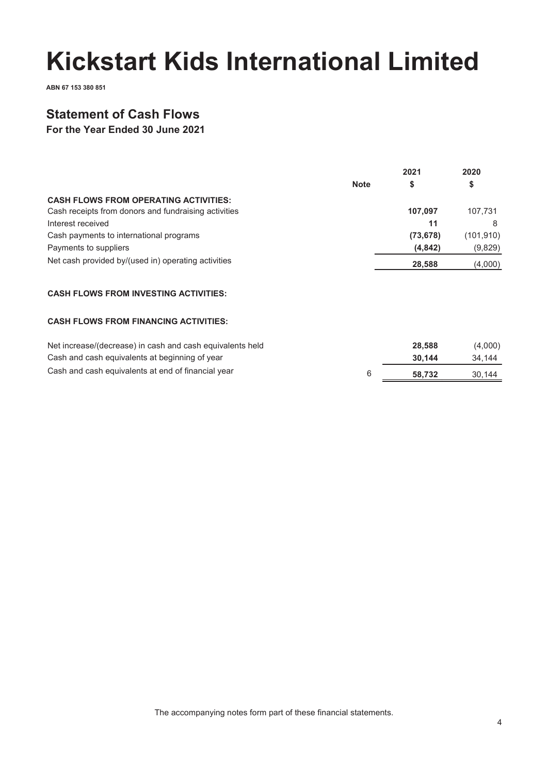ABN 67 153 380 851

### Statement of Cash Flows

For the Year Ended 30 June 2021

|                                                           | <b>Note</b> | 2021<br>\$ | 2020<br>\$ |
|-----------------------------------------------------------|-------------|------------|------------|
| <b>CASH FLOWS FROM OPERATING ACTIVITIES:</b>              |             |            |            |
| Cash receipts from donors and fundraising activities      |             | 107,097    | 107,731    |
| Interest received                                         |             | 11         | 8          |
| Cash payments to international programs                   |             | (73, 678)  | (101, 910) |
| Payments to suppliers                                     |             | (4, 842)   | (9,829)    |
| Net cash provided by/(used in) operating activities       |             | 28,588     | (4,000)    |
| <b>CASH FLOWS FROM INVESTING ACTIVITIES:</b>              |             |            |            |
| <b>CASH FLOWS FROM FINANCING ACTIVITIES:</b>              |             |            |            |
| Net increase/(decrease) in cash and cash equivalents held |             | 28,588     | (4,000)    |
| Cash and cash equivalents at beginning of year            |             | 30,144     | 34,144     |
| Cash and cash equivalents at end of financial year        | 6           | 58,732     | 30,144     |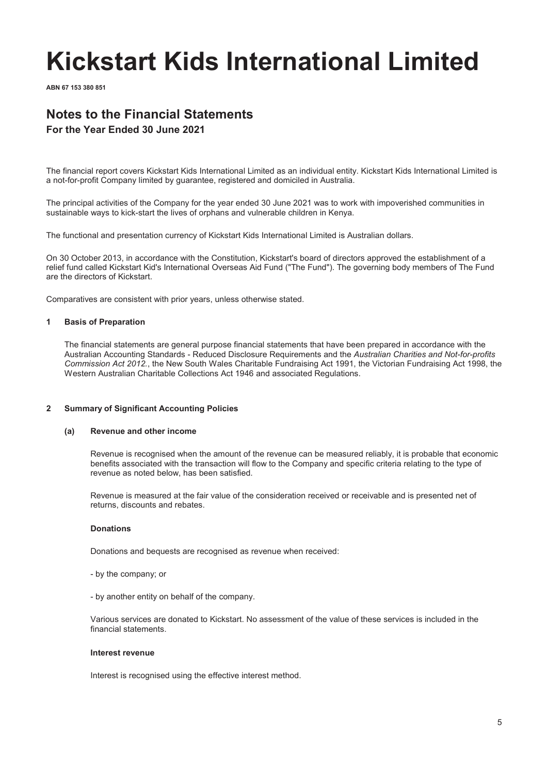ABN 67 153 380 851

### Notes to the Financial Statements For the Year Ended 30 June 2021

The financial report covers Kickstart Kids International Limited as an individual entity. Kickstart Kids International Limited is a not-for-profit Company limited by guarantee, registered and domiciled in Australia.

The principal activities of the Company for the year ended 30 June 2021 was to work with impoverished communities in sustainable ways to kick-start the lives of orphans and vulnerable children in Kenya.

The functional and presentation currency of Kickstart Kids International Limited is Australian dollars.

On 30 October 2013, in accordance with the Constitution, Kickstart's board of directors approved the establishment of a relief fund called Kickstart Kid's International Overseas Aid Fund ("The Fund"). The governing body members of The Fund are the directors of Kickstart.

Comparatives are consistent with prior years, unless otherwise stated.

#### 1 Basis of Preparation

The financial statements are general purpose financial statements that have been prepared in accordance with the Australian Accounting Standards - Reduced Disclosure Requirements and the *Australian Charities and Not-for-profits Commission Act 2012.*, the New South Wales Charitable Fundraising Act 1991, the Victorian Fundraising Act 1998, the Western Australian Charitable Collections Act 1946 and associated Regulations.

#### 2 Summary of Significant Accounting Policies

#### (a) Revenue and other income

Revenue is recognised when the amount of the revenue can be measured reliably, it is probable that economic benefits associated with the transaction will flow to the Company and specific criteria relating to the type of revenue as noted below, has been satisfied.

Revenue is measured at the fair value of the consideration received or receivable and is presented net of returns, discounts and rebates.

#### Donations

Donations and bequests are recognised as revenue when received:

- by the company; or
- by another entity on behalf of the company.

Various services are donated to Kickstart. No assessment of the value of these services is included in the financial statements.

#### Interest revenue

Interest is recognised using the effective interest method.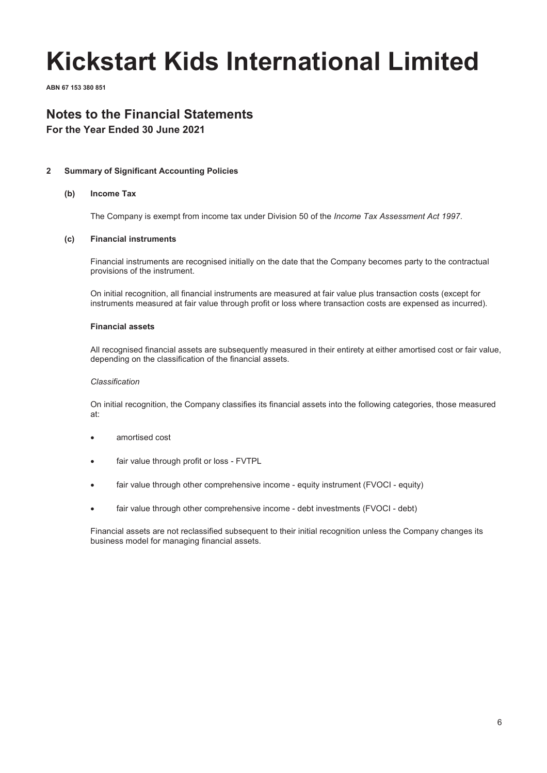ABN 67 153 380 851

### Notes to the Financial Statements

For the Year Ended 30 June 2021

#### 2 Summary of Significant Accounting Policies

#### (b) Income Tax

The Company is exempt from income tax under Division 50 of the *Income Tax Assessment Act 1997*.

#### (c) Financial instruments

Financial instruments are recognised initially on the date that the Company becomes party to the contractual provisions of the instrument.

On initial recognition, all financial instruments are measured at fair value plus transaction costs (except for instruments measured at fair value through profit or loss where transaction costs are expensed as incurred).

#### Financial assets

All recognised financial assets are subsequently measured in their entirety at either amortised cost or fair value, depending on the classification of the financial assets.

#### *Classification*

On initial recognition, the Company classifies its financial assets into the following categories, those measured at:

- amortised cost
- fair value through profit or loss FVTPL
- fair value through other comprehensive income equity instrument (FVOCI equity)
- fair value through other comprehensive income debt investments (FVOCI debt)

Financial assets are not reclassified subsequent to their initial recognition unless the Company changes its business model for managing financial assets.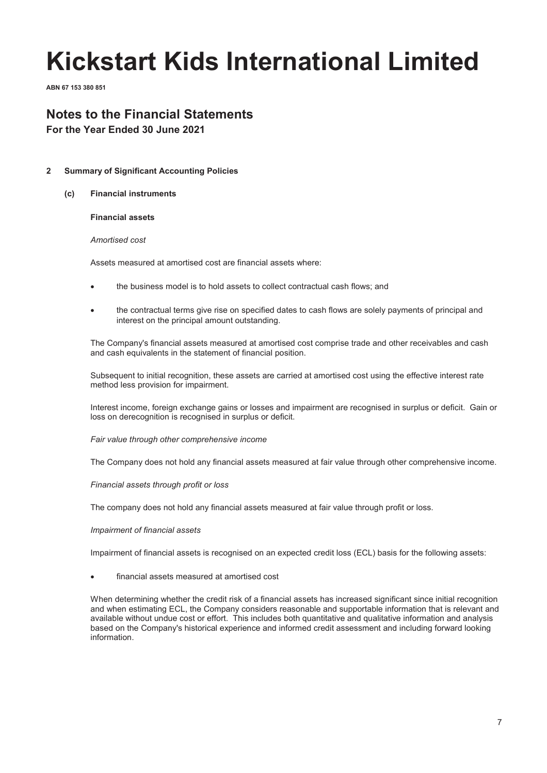ABN 67 153 380 851

### Notes to the Financial Statements For the Year Ended 30 June 2021

#### 2 Summary of Significant Accounting Policies

(c) Financial instruments

Financial assets

*Amortised cost*

Assets measured at amortised cost are financial assets where:

- the business model is to hold assets to collect contractual cash flows; and
- the contractual terms give rise on specified dates to cash flows are solely payments of principal and interest on the principal amount outstanding.

The Company's financial assets measured at amortised cost comprise trade and other receivables and cash and cash equivalents in the statement of financial position.

Subsequent to initial recognition, these assets are carried at amortised cost using the effective interest rate method less provision for impairment.

Interest income, foreign exchange gains or losses and impairment are recognised in surplus or deficit. Gain or loss on derecognition is recognised in surplus or deficit.

*Fair value through other comprehensive income*

The Company does not hold any financial assets measured at fair value through other comprehensive income.

*Financial assets through profit or loss*

The company does not hold any financial assets measured at fair value through profit or loss.

#### *Impairment of financial assets*

Impairment of financial assets is recognised on an expected credit loss (ECL) basis for the following assets:

financial assets measured at amortised cost

When determining whether the credit risk of a financial assets has increased significant since initial recognition and when estimating ECL, the Company considers reasonable and supportable information that is relevant and available without undue cost or effort. This includes both quantitative and qualitative information and analysis based on the Company's historical experience and informed credit assessment and including forward looking information.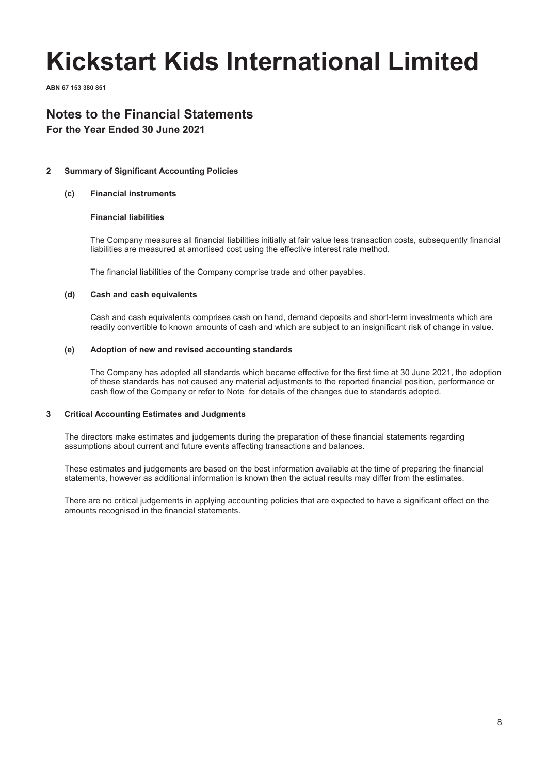ABN 67 153 380 851

### Notes to the Financial Statements

For the Year Ended 30 June 2021

#### 2 Summary of Significant Accounting Policies

#### (c) Financial instruments

#### Financial liabilities

The Company measures all financial liabilities initially at fair value less transaction costs, subsequently financial liabilities are measured at amortised cost using the effective interest rate method.

The financial liabilities of the Company comprise trade and other payables.

#### (d) Cash and cash equivalents

Cash and cash equivalents comprises cash on hand, demand deposits and short-term investments which are readily convertible to known amounts of cash and which are subject to an insignificant risk of change in value.

#### (e) Adoption of new and revised accounting standards

The Company has adopted all standards which became effective for the first time at 30 June 2021, the adoption of these standards has not caused any material adjustments to the reported financial position, performance or cash flow of the Company or refer to Note for details of the changes due to standards adopted.

#### 3 Critical Accounting Estimates and Judgments

The directors make estimates and judgements during the preparation of these financial statements regarding assumptions about current and future events affecting transactions and balances.

These estimates and judgements are based on the best information available at the time of preparing the financial statements, however as additional information is known then the actual results may differ from the estimates.

There are no critical judgements in applying accounting policies that are expected to have a significant effect on the amounts recognised in the financial statements.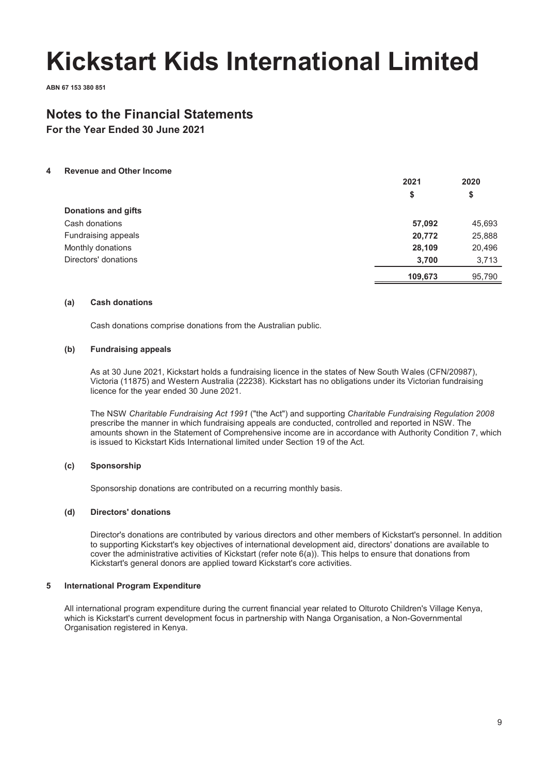ABN 67 153 380 851

### Notes to the Financial Statements

For the Year Ended 30 June 2021

#### 4 Revenue and Other Income

|                            | 2021    | 2020   |
|----------------------------|---------|--------|
|                            | \$      | \$     |
| <b>Donations and gifts</b> |         |        |
| Cash donations             | 57,092  | 45,693 |
| Fundraising appeals        | 20,772  | 25,888 |
| Monthly donations          | 28,109  | 20,496 |
| Directors' donations       | 3.700   | 3,713  |
|                            | 109,673 | 95,790 |

#### (a) Cash donations

Cash donations comprise donations from the Australian public.

#### (b) Fundraising appeals

As at 30 June 2021, Kickstart holds a fundraising licence in the states of New South Wales (CFN/20987), Victoria (11875) and Western Australia (22238). Kickstart has no obligations under its Victorian fundraising licence for the year ended 30 June 2021.

The NSW *Charitable Fundraising Act 1991* ("the Act") and supporting *Charitable Fundraising Regulation 2008* prescribe the manner in which fundraising appeals are conducted, controlled and reported in NSW. The amounts shown in the Statement of Comprehensive income are in accordance with Authority Condition 7, which is issued to Kickstart Kids International limited under Section 19 of the Act.

#### (c) Sponsorship

Sponsorship donations are contributed on a recurring monthly basis.

#### (d) Directors' donations

Director's donations are contributed by various directors and other members of Kickstart's personnel. In addition to supporting Kickstart's key objectives of international development aid, directors' donations are available to cover the administrative activities of Kickstart (refer note 6(a)). This helps to ensure that donations from Kickstart's general donors are applied toward Kickstart's core activities.

#### 5 International Program Expenditure

All international program expenditure during the current financial year related to Olturoto Children's Village Kenya, which is Kickstart's current development focus in partnership with Nanga Organisation, a Non-Governmental Organisation registered in Kenya.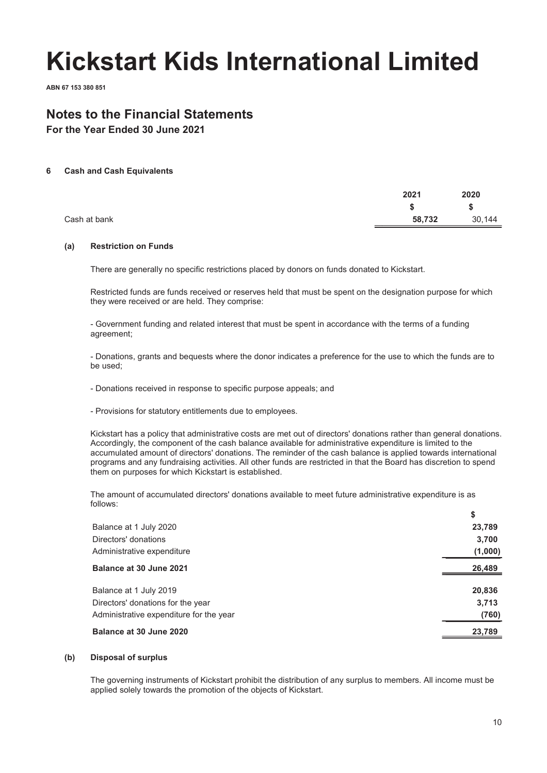ABN 67 153 380 851

### Notes to the Financial Statements

For the Year Ended 30 June 2021

#### 6 Cash and Cash Equivalents

|              | 2021   | 2020   |
|--------------|--------|--------|
|              |        | S      |
| Cash at bank | 58,732 | 30,144 |
|              |        |        |

#### (a) Restriction on Funds

There are generally no specific restrictions placed by donors on funds donated to Kickstart.

Restricted funds are funds received or reserves held that must be spent on the designation purpose for which they were received or are held. They comprise:

- Government funding and related interest that must be spent in accordance with the terms of a funding agreement;

- Donations, grants and bequests where the donor indicates a preference for the use to which the funds are to be used;

- Donations received in response to specific purpose appeals; and

- Provisions for statutory entitlements due to employees.

Kickstart has a policy that administrative costs are met out of directors' donations rather than general donations. Accordingly, the component of the cash balance available for administrative expenditure is limited to the accumulated amount of directors' donations. The reminder of the cash balance is applied towards international programs and any fundraising activities. All other funds are restricted in that the Board has discretion to spend them on purposes for which Kickstart is established.

The amount of accumulated directors' donations available to meet future administrative expenditure is as follows:

|                                         | \$      |
|-----------------------------------------|---------|
| Balance at 1 July 2020                  | 23,789  |
| Directors' donations                    | 3,700   |
| Administrative expenditure              | (1,000) |
| Balance at 30 June 2021                 | 26,489  |
| Balance at 1 July 2019                  | 20,836  |
| Directors' donations for the year       | 3,713   |
| Administrative expenditure for the year | (760)   |
| Balance at 30 June 2020                 | 23,789  |

#### (b) Disposal of surplus

The governing instruments of Kickstart prohibit the distribution of any surplus to members. All income must be applied solely towards the promotion of the objects of Kickstart.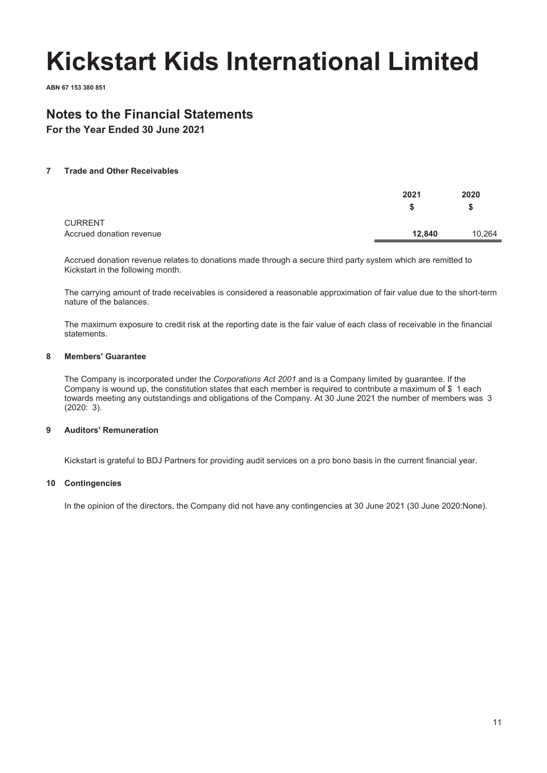ABN 67 153 380 851

### Notes to the Financial Statements

For the Year Ended 30 June 2021

#### 7 Trade and Other Receivables

|                          | 2021   | 2020   |
|--------------------------|--------|--------|
|                          |        | S      |
| <b>CURRENT</b>           |        |        |
| Accrued donation revenue | 12,840 | 10,264 |

Accrued donation revenue relates to donations made through a secure third party system which are remitted to Kickstart in the following month.

The carrying amount of trade receivables is considered a reasonable approximation of fair value due to the short-term nature of the balances.

The maximum exposure to credit risk at the reporting date is the fair value of each class of receivable in the financial statements.

#### 8 Members' Guarantee

The Company is incorporated under the *Corporations Act 2001* and is a Company limited by guarantee. If the Company is wound up, the constitution states that each member is required to contribute a maximum of \$ 1 each towards meeting any outstandings and obligations of the Company. At 30 June 2021 the number of members was 3 (2020: 3).

#### 9 Auditors' Remuneration

Kickstart is grateful to BDJ Partners for providing audit services on a pro bono basis in the current financial year.

#### 10 Contingencies

In the opinion of the directors, the Company did not have any contingencies at 30 June 2021 (30 June 2020:None).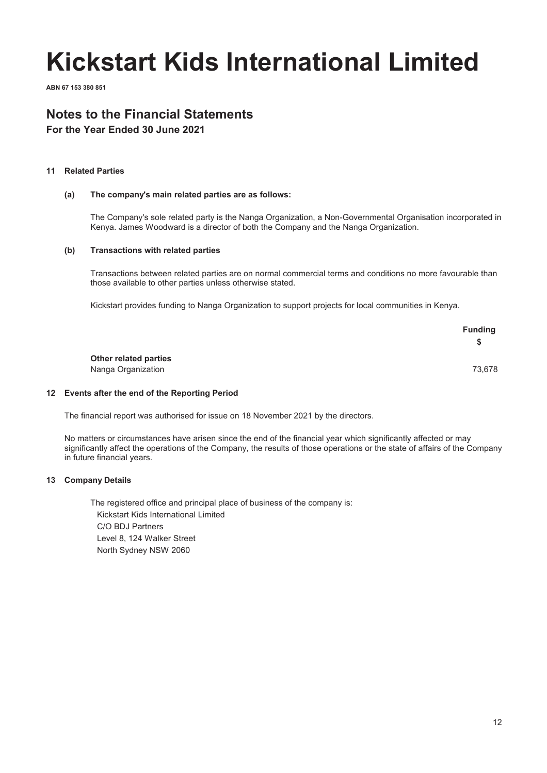**ABN 67 153 380 851**

### **Notes to the Financial Statements**

**For the Year Ended 30 June 2021**

#### **11 Related Parties**

#### **(a) The company's main related parties are as follows:**

The Company's sole related party is the Nanga Organization, a Non-Governmental Organisation incorporated in Kenya. James Woodward is a director of both the Company and the Nanga Organization.

#### **(b) Transactions with related parties**

Transactions between related parties are on normal commercial terms and conditions no more favourable than those available to other parties unless otherwise stated.

Kickstart provides funding to Nanga Organization to support projects for local communities in Kenya.

|                       | <b>Funding</b> |
|-----------------------|----------------|
|                       |                |
| Other related parties |                |
| Nanga Organization    | 73,678         |

#### **12 Events after the end of the Reporting Period**

The financial report was authorised for issue on 18 November 2021 by the directors.

No matters or circumstances have arisen since the end of the financial year which significantly affected or may significantly affect the operations of the Company, the results of those operations or the state of affairs of the Company in future financial years.

#### **13 Company Details**

The registered office and principal place of business of the company is: Kickstart Kids International Limited C/O BDJ Partners Level 8, 124 Walker Street North Sydney NSW 2060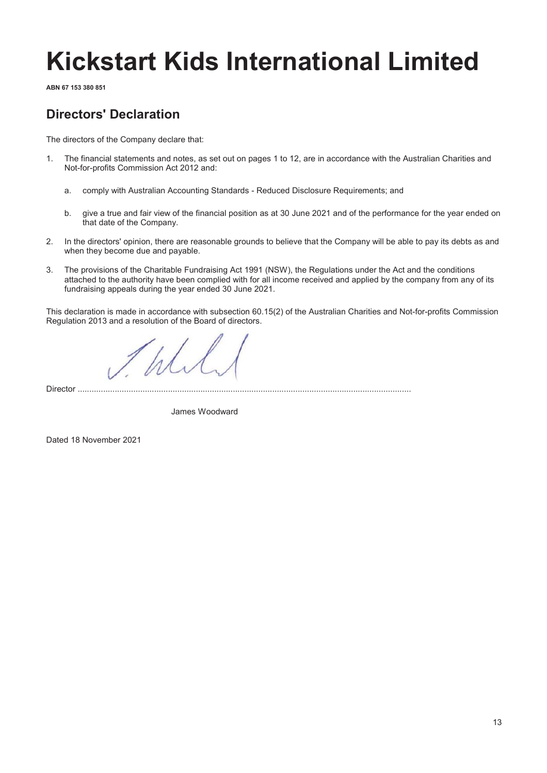ABN 67 153 380 851

### Directors' Declaration

The directors of the Company declare that:

- 1. The financial statements and notes, as set out on pages 1 to 12, are in accordance with the Australian Charities and Not-for-profits Commission Act 2012 and:
	- a. comply with Australian Accounting Standards Reduced Disclosure Requirements; and
	- b. give a true and fair view of the financial position as at 30 June 2021 and of the performance for the year ended on that date of the Company.
- 2. In the directors' opinion, there are reasonable grounds to believe that the Company will be able to pay its debts as and when they become due and payable.
- 3. The provisions of the Charitable Fundraising Act 1991 (NSW), the Regulations under the Act and the conditions attached to the authority have been complied with for all income received and applied by the company from any of its fundraising appeals during the year ended 30 June 2021.

This declaration is made in accordance with subsection 60.15(2) of the Australian Charities and Not-for-profits Commission Regulation 2013 and a resolution of the Board of directors.

Director ................

James Woodward

Dated November 2021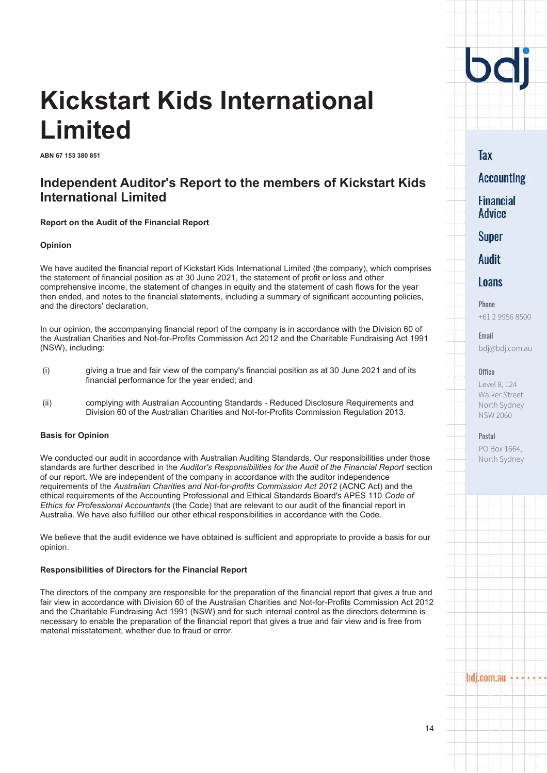**ABN 67 153 380 851**

### **Independent Auditor's Report to the members of Kickstart Kids International Limited**

**Report on the Audit of the Financial Report**

#### **Opinion**

We have audited the financial report of Kickstart Kids International Limited (the company), which comprises the statement of financial position as at 30 June 2021, the statement of profit or loss and other comprehensive income, the statement of changes in equity and the statement of cash flows for the year then ended, and notes to the financial statements, including a summary of significant accounting policies, and the directors' declaration.

In our opinion, the accompanying financial report of the company is in accordance with the Division 60 of the Australian Charities and Not-for-Profits Commission Act 2012 and the Charitable Fundraising Act 1991 (NSW), including:

- (i) giving a true and fair view of the company's financial position as at 30 June 2021 and of its financial performance for the year ended; and
- (ii) complying with Australian Accounting Standards Reduced Disclosure Requirements and Division 60 of the Australian Charities and Not-for-Profits Commission Regulation 2013.

#### **Basis for Opinion**

We conducted our audit in accordance with Australian Auditing Standards. Our responsibilities under those standards are further described in the *Auditor's Responsibilities for the Audit of the Financial Report* section of our report. We are independent of the company in accordance with the auditor independence requirements of the *Australian Charities and Not-for-profits Commission Act 2012* (ACNC Act) and the ethical requirements of the Accounting Professional and Ethical Standards Board's APES 110 *Code of Ethics for Professional Accountants* (the Code) that are relevant to our audit of the financial report in Australia. We have also fulfilled our other ethical responsibilities in accordance with the Code.

We believe that the audit evidence we have obtained is sufficient and appropriate to provide a basis for our opinion.

#### **Responsibilities of Directors for the Financial Report**

The directors of the company are responsible for the preparation of the financial report that gives a true and fair view in accordance with Division 60 of the Australian Charities and Not-for-Profits Commission Act 2012 and the Charitable Fundraising Act 1991 (NSW) and for such internal control as the directors determine is necessary to enable the preparation of the financial report that gives a true and fair view and is free from material misstatement, whether due to fraud or error.



**Tax Accounting** 

**Financial Advice** 

**Super** 

**Audit** 

**Loans** 

Phone  $+61299568500$ 

Email bdj@bdj.com.au

**Office** 

Level 8, 124 Walker Street North Sydney NSW 2060

Postal

PO Box 1664 North Sydney

 $bdi.com.au \cdot \cdot \cdot \cdot$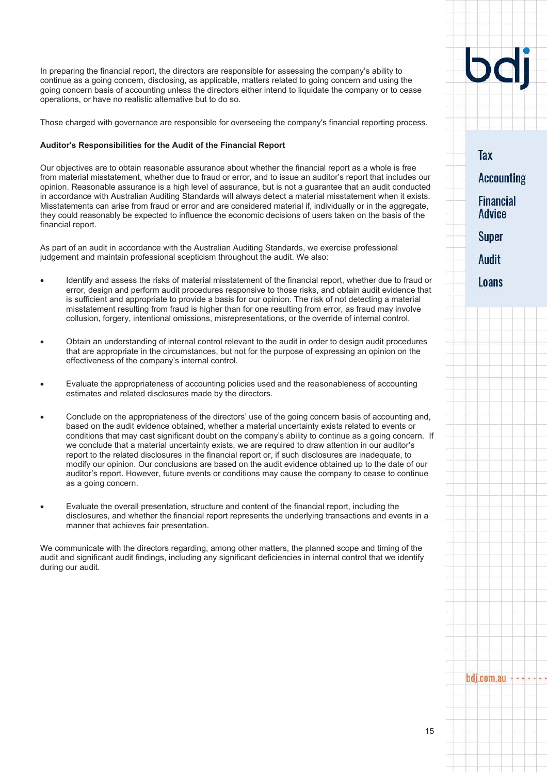In preparing the financial report, the directors are responsible for assessing the company's ability to continue as a going concern, disclosing, as applicable, matters related to going concern and using the going concern basis of accounting unless the directors either intend to liquidate the company or to cease operations, or have no realistic alternative but to do so.

Those charged with governance are responsible for overseeing the company's financial reporting process.

#### **Auditor's Responsibilities for the Audit of the Financial Report**

Our objectives are to obtain reasonable assurance about whether the financial report as a whole is free from material misstatement, whether due to fraud or error, and to issue an auditor's report that includes our opinion. Reasonable assurance is a high level of assurance, but is not a guarantee that an audit conducted in accordance with Australian Auditing Standards will always detect a material misstatement when it exists. Misstatements can arise from fraud or error and are considered material if, individually or in the aggregate, they could reasonably be expected to influence the economic decisions of users taken on the basis of the financial report.

As part of an audit in accordance with the Australian Auditing Standards, we exercise professional judgement and maintain professional scepticism throughout the audit. We also:

- Identify and assess the risks of material misstatement of the financial report, whether due to fraud or error, design and perform audit procedures responsive to those risks, and obtain audit evidence that is sufficient and appropriate to provide a basis for our opinion. The risk of not detecting a material misstatement resulting from fraud is higher than for one resulting from error, as fraud may involve collusion, forgery, intentional omissions, misrepresentations, or the override of internal control.
- Obtain an understanding of internal control relevant to the audit in order to design audit procedures that are appropriate in the circumstances, but not for the purpose of expressing an opinion on the effectiveness of the company's internal control.
- Evaluate the appropriateness of accounting policies used and the reasonableness of accounting estimates and related disclosures made by the directors.
- Conclude on the appropriateness of the directors' use of the going concern basis of accounting and, based on the audit evidence obtained, whether a material uncertainty exists related to events or conditions that may cast significant doubt on the company's ability to continue as a going concern. If we conclude that a material uncertainty exists, we are required to draw attention in our auditor's report to the related disclosures in the financial report or, if such disclosures are inadequate, to modify our opinion. Our conclusions are based on the audit evidence obtained up to the date of our auditor's report. However, future events or conditions may cause the company to cease to continue as a going concern.
- x Evaluate the overall presentation, structure and content of the financial report, including the disclosures, and whether the financial report represents the underlying transactions and events in a manner that achieves fair presentation.

We communicate with the directors regarding, among other matters, the planned scope and timing of the audit and significant audit findings, including any significant deficiencies in internal control that we identify during our audit.



**Tax Accounting Financial Advice Super Audit** Loans

 $bdi.com.au$   $\cdots$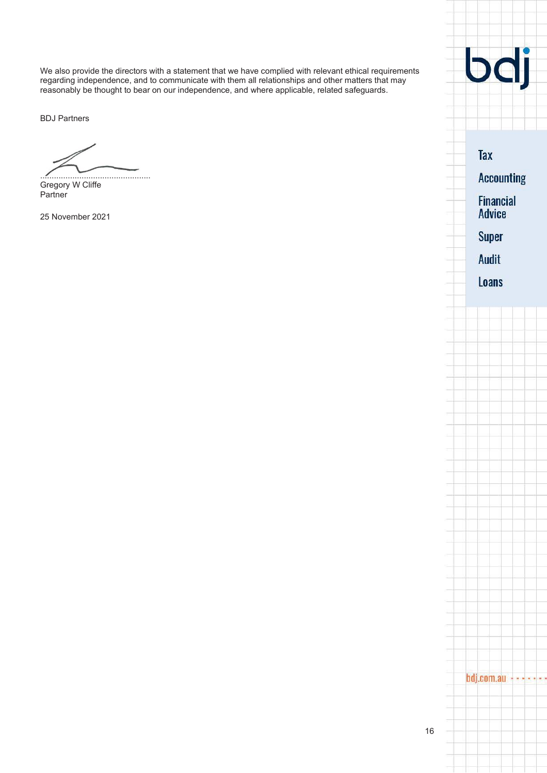We also provide the directors with a statement that we have complied with relevant ethical requirements regarding independence, and to communicate with them all relationships and other matters that may reasonably be thought to bear on our independence, and where applicable, related safeguards.

BDJ Partners

................................................

Gregory W Cliffe **Partner** 

25 November 2021



bdj.com.au ·······